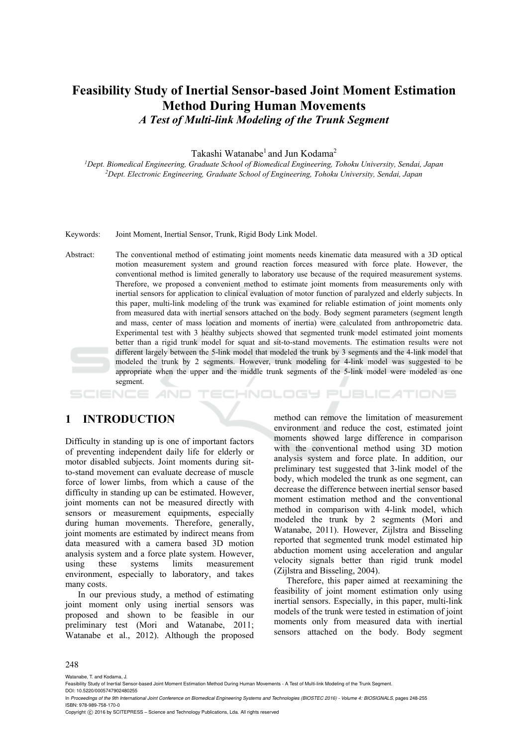# **Feasibility Study of Inertial Sensor-based Joint Moment Estimation Method During Human Movements**  *A Test of Multi-link Modeling of the Trunk Segment*

Takashi Watanabe<sup>1</sup> and Jun Kodama<sup>2</sup>

<sup>1</sup>Dept. Biomedical Engineering, Graduate School of Biomedical Engineering, Tohoku University, Sendai, Japan <sup>2</sup>Dept. Electronic Engineering, Graduate School of Engineering, Tohoku University, Sendai, Japan

Keywords: Joint Moment, Inertial Sensor, Trunk, Rigid Body Link Model.

Abstract: The conventional method of estimating joint moments needs kinematic data measured with a 3D optical motion measurement system and ground reaction forces measured with force plate. However, the conventional method is limited generally to laboratory use because of the required measurement systems. Therefore, we proposed a convenient method to estimate joint moments from measurements only with inertial sensors for application to clinical evaluation of motor function of paralyzed and elderly subjects. In this paper, multi-link modeling of the trunk was examined for reliable estimation of joint moments only from measured data with inertial sensors attached on the body. Body segment parameters (segment length and mass, center of mass location and moments of inertia) were calculated from anthropometric data. Experimental test with 3 healthy subjects showed that segmented trunk model estimated joint moments better than a rigid trunk model for squat and sit-to-stand movements. The estimation results were not different largely between the 5-link model that modeled the trunk by 3 segments and the 4-link model that modeled the trunk by 2 segments. However, trunk modeling for 4-link model was suggested to be appropriate when the upper and the middle trunk segments of the 5-link model were modeled as one segment.

#### HNOLOGY PUBLIC ATIONS SCIENCE

## **1 INTRODUCTION**

Difficulty in standing up is one of important factors of preventing independent daily life for elderly or motor disabled subjects. Joint moments during sitto-stand movement can evaluate decrease of muscle force of lower limbs, from which a cause of the difficulty in standing up can be estimated. However, joint moments can not be measured directly with sensors or measurement equipments, especially during human movements. Therefore, generally, joint moments are estimated by indirect means from data measured with a camera based 3D motion analysis system and a force plate system. However, using these systems limits measurement environment, especially to laboratory, and takes many costs.

In our previous study, a method of estimating joint moment only using inertial sensors was proposed and shown to be feasible in our preliminary test (Mori and Watanabe, 2011; Watanabe et al., 2012). Although the proposed

method can remove the limitation of measurement environment and reduce the cost, estimated joint moments showed large difference in comparison with the conventional method using 3D motion analysis system and force plate. In addition, our preliminary test suggested that 3-link model of the body, which modeled the trunk as one segment, can decrease the difference between inertial sensor based moment estimation method and the conventional method in comparison with 4-link model, which modeled the trunk by 2 segments (Mori and Watanabe, 2011). However, Zijlstra and Bisseling reported that segmented trunk model estimated hip abduction moment using acceleration and angular velocity signals better than rigid trunk model (Zijlstra and Bisseling, 2004).

Therefore, this paper aimed at reexamining the feasibility of joint moment estimation only using inertial sensors. Especially, in this paper, multi-link models of the trunk were tested in estimation of joint moments only from measured data with inertial sensors attached on the body. Body segment

#### 248

Watanabe, T. and Kodama, J.

In *Proceedings of the 9th International Joint Conference on Biomedical Engineering Systems and Technologies (BIOSTEC 2016) - Volume 4: BIOSIGNALS*, pages 248-255 ISBN: 978-989-758-170-0

Feasibility Study of Inertial Sensor-based Joint Moment Estimation Method During Human Movements - A Test of Multi-link Modeling of the Trunk Segment. DOI: 10.5220/0005747902480255

Copyright © 2016 by SCITEPRESS - Science and Technology Publications, Lda. All rights reserved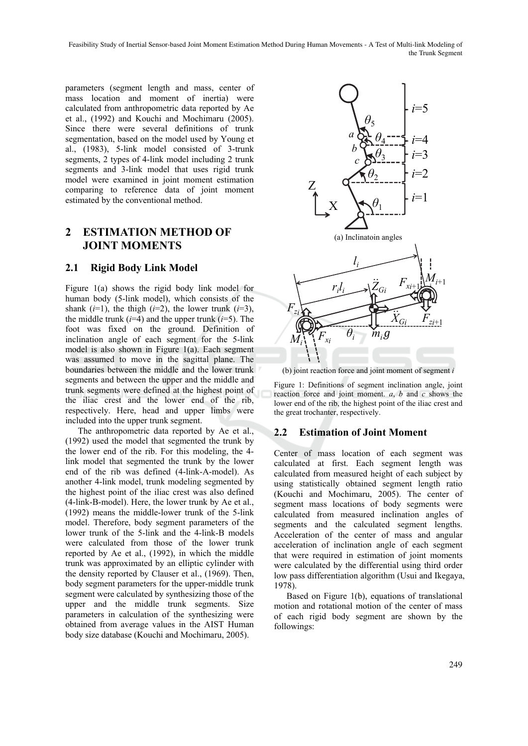Feasibility Study of Inertial Sensor-based Joint Moment Estimation Method During Human Movements - A Test of Multi-link Modeling of the Trunk Segment

parameters (segment length and mass, center of mass location and moment of inertia) were calculated from anthropometric data reported by Ae et al., (1992) and Kouchi and Mochimaru (2005). Since there were several definitions of trunk segmentation, based on the model used by Young et al., (1983), 5-link model consisted of 3-trunk segments, 2 types of 4-link model including 2 trunk segments and 3-link model that uses rigid trunk model were examined in joint moment estimation comparing to reference data of joint moment estimated by the conventional method.

## **2 ESTIMATION METHOD OF JOINT MOMENTS**

#### **2.1 Rigid Body Link Model**

Figure 1(a) shows the rigid body link model for human body (5-link model), which consists of the shank  $(i=1)$ , the thigh  $(i=2)$ , the lower trunk  $(i=3)$ , the middle trunk  $(i=4)$  and the upper trunk  $(i=5)$ . The foot was fixed on the ground. Definition of inclination angle of each segment for the 5-link model is also shown in Figure 1(a). Each segment was assumed to move in the sagittal plane. The boundaries between the middle and the lower trunk segments and between the upper and the middle and trunk segments were defined at the highest point of the iliac crest and the lower end of the rib, respectively. Here, head and upper limbs were included into the upper trunk segment.

The anthropometric data reported by Ae et al., (1992) used the model that segmented the trunk by the lower end of the rib. For this modeling, the 4 link model that segmented the trunk by the lower end of the rib was defined (4-link-A-model). As another 4-link model, trunk modeling segmented by the highest point of the iliac crest was also defined (4-link-B-model). Here, the lower trunk by Ae et al., (1992) means the middle-lower trunk of the 5-link model. Therefore, body segment parameters of the lower trunk of the 5-link and the 4-link-B models were calculated from those of the lower trunk reported by Ae et al., (1992), in which the middle trunk was approximated by an elliptic cylinder with the density reported by Clauser et al., (1969). Then, body segment parameters for the upper-middle trunk segment were calculated by synthesizing those of the upper and the middle trunk segments. Size parameters in calculation of the synthesizing were obtained from average values in the AIST Human body size database (Kouchi and Mochimaru, 2005).



(b) joint reaction force and joint moment of segment *i*

Figure 1: Definitions of segment inclination angle, joint reaction force and joint moment. *a*, *b* and *c* shows the lower end of the rib, the highest point of the iliac crest and the great trochanter, respectively.

## **2.2 Estimation of Joint Moment**

Center of mass location of each segment was calculated at first. Each segment length was calculated from measured height of each subject by using statistically obtained segment length ratio (Kouchi and Mochimaru, 2005). The center of segment mass locations of body segments were calculated from measured inclination angles of segments and the calculated segment lengths. Acceleration of the center of mass and angular acceleration of inclination angle of each segment that were required in estimation of joint moments were calculated by the differential using third order low pass differentiation algorithm (Usui and Ikegaya, 1978).

Based on Figure 1(b), equations of translational motion and rotational motion of the center of mass of each rigid body segment are shown by the followings: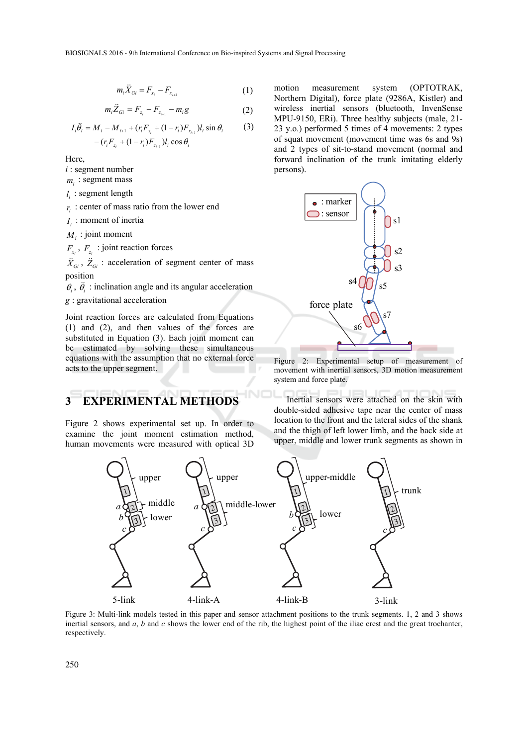$$
m_i \ddot{X}_{Gi} = F_{x_i} - F_{x_{i+1}}
$$
 (1)

$$
m_i \ddot{Z}_{Gi} = F_{z_i} - F_{z_{i+1}} - m_i g \tag{2}
$$

$$
I_i \ddot{\theta}_i = M_i - M_{i+1} + (r_i F_{x_i} + (1 - r_i) F_{x_{i+1}}) I_i \sin \theta_i
$$
 (3)  
-  $(r_i F_{z_i} + (1 - r_i) F_{z_{i+1}}) I_i \cos \theta_i$ 

Here,

- *i* : segment number
- $m_i$ : segment mass
- *<sup>i</sup> l* : segment length
- $r_i$ : center of mass ratio from the lower end
- *<sup>i</sup> I* : moment of inertia
- $M_i$ : joint moment

 $F_x$ ,  $F_z$ : joint reaction forces

 $\ddot{X}_{Gi}$ ,  $\ddot{Z}_{Gi}$  : acceleration of segment center of mass position

 $\theta_i$ ,  $\ddot{\theta}_i$  : inclination angle and its angular acceleration

*g* : gravitational acceleration

Joint reaction forces are calculated from Equations (1) and (2), and then values of the forces are substituted in Equation (3). Each joint moment can be estimated by solving these simultaneous equations with the assumption that no external force acts to the upper segment.

# **3 EXPERIMENTAL METHODS**

Figure 2 shows experimental set up. In order to examine the joint moment estimation method, human movements were measured with optical 3D

motion measurement system (OPTOTRAK, Northern Digital), force plate (9286A, Kistler) and wireless inertial sensors (bluetooth, InvenSense MPU-9150, ERi). Three healthy subjects (male, 21- 23 y.o.) performed 5 times of 4 movements: 2 types of squat movement (movement time was 6s and 9s) and 2 types of sit-to-stand movement (normal and forward inclination of the trunk imitating elderly persons).



Figure 2: Experimental setup of measurement of movement with inertial sensors, 3D motion measurement system and force plate.

Inertial sensors were attached on the skin with double-sided adhesive tape near the center of mass location to the front and the lateral sides of the shank and the thigh of left lower limb, and the back side at upper, middle and lower trunk segments as shown in



Figure 3: Multi-link models tested in this paper and sensor attachment positions to the trunk segments. 1, 2 and 3 shows inertial sensors, and *a*, *b* and *c* shows the lower end of the rib, the highest point of the iliac crest and the great trochanter, respectively.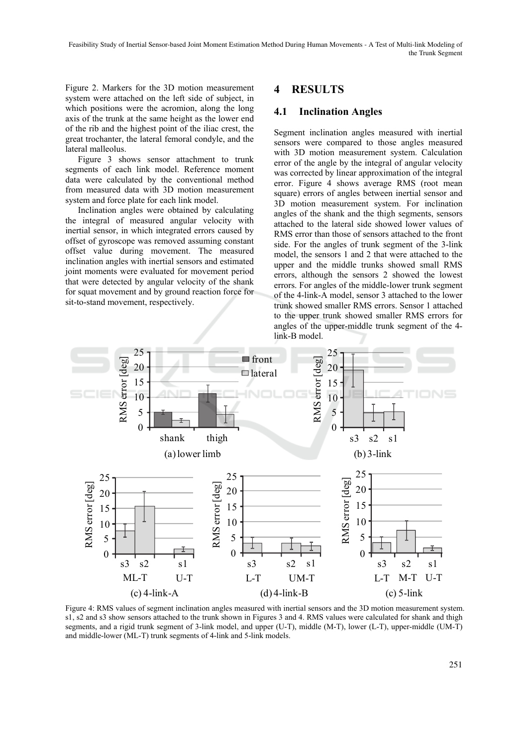Figure 2. Markers for the 3D motion measurement system were attached on the left side of subject, in which positions were the acromion, along the long axis of the trunk at the same height as the lower end of the rib and the highest point of the iliac crest, the great trochanter, the lateral femoral condyle, and the lateral malleolus.

Figure 3 shows sensor attachment to trunk segments of each link model. Reference moment data were calculated by the conventional method from measured data with 3D motion measurement system and force plate for each link model.

Inclination angles were obtained by calculating the integral of measured angular velocity with inertial sensor, in which integrated errors caused by offset of gyroscope was removed assuming constant offset value during movement. The measured inclination angles with inertial sensors and estimated joint moments were evaluated for movement period that were detected by angular velocity of the shank for squat movement and by ground reaction force for sit-to-stand movement, respectively.

## **4 RESULTS**

#### **4.1 Inclination Angles**

Segment inclination angles measured with inertial sensors were compared to those angles measured with 3D motion measurement system. Calculation error of the angle by the integral of angular velocity was corrected by linear approximation of the integral error. Figure 4 shows average RMS (root mean square) errors of angles between inertial sensor and 3D motion measurement system. For inclination angles of the shank and the thigh segments, sensors attached to the lateral side showed lower values of RMS error than those of sensors attached to the front side. For the angles of trunk segment of the 3-link model, the sensors 1 and 2 that were attached to the upper and the middle trunks showed small RMS errors, although the sensors 2 showed the lowest errors. For angles of the middle-lower trunk segment of the 4-link-A model, sensor 3 attached to the lower trunk showed smaller RMS errors. Sensor 1 attached to the upper trunk showed smaller RMS errors for angles of the upper-middle trunk segment of the 4 link-B model.



Figure 4: RMS values of segment inclination angles measured with inertial sensors and the 3D motion measurement system. s1, s2 and s3 show sensors attached to the trunk shown in Figures 3 and 4. RMS values were calculated for shank and thigh segments, and a rigid trunk segment of 3-link model, and upper (U-T), middle (M-T), lower (L-T), upper-middle (UM-T) and middle-lower (ML-T) trunk segments of 4-link and 5-link models.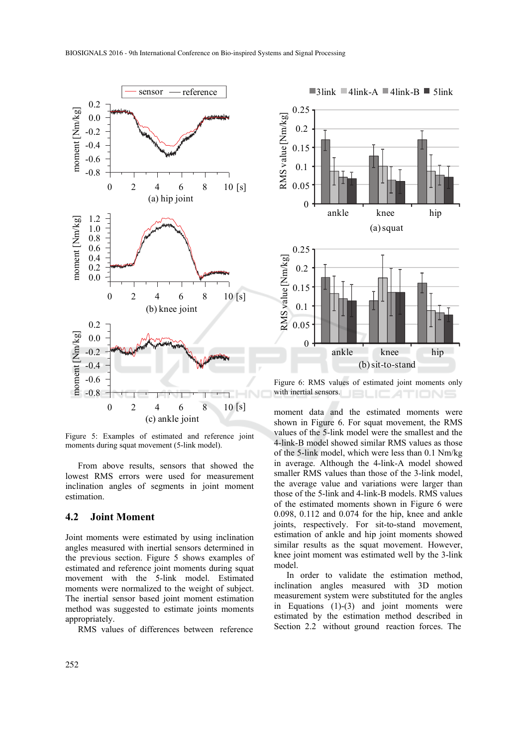

Figure 5: Examples of estimated and reference joint moments during squat movement (5-link model).

From above results, sensors that showed the lowest RMS errors were used for measurement inclination angles of segments in joint moment estimation.

#### **4.2 Joint Moment**

Joint moments were estimated by using inclination angles measured with inertial sensors determined in the previous section. Figure 5 shows examples of estimated and reference joint moments during squat movement with the 5-link model. Estimated moments were normalized to the weight of subject. The inertial sensor based joint moment estimation method was suggested to estimate joints moments appropriately.

RMS values of differences between reference



Figure 6: RMS values of estimated joint moments only with inertial sensors.

moment data and the estimated moments were shown in Figure 6. For squat movement, the RMS values of the 5-link model were the smallest and the 4-link-B model showed similar RMS values as those of the 5-link model, which were less than 0.1 Nm/kg in average. Although the 4-link-A model showed smaller RMS values than those of the 3-link model, the average value and variations were larger than those of the 5-link and 4-link-B models. RMS values of the estimated moments shown in Figure 6 were 0.098, 0.112 and 0.074 for the hip, knee and ankle joints, respectively. For sit-to-stand movement, estimation of ankle and hip joint moments showed similar results as the squat movement. However, knee joint moment was estimated well by the 3-link model.

In order to validate the estimation method, inclination angles measured with 3D motion measurement system were substituted for the angles in Equations (1)-(3) and joint moments were estimated by the estimation method described in Section 2.2 without ground reaction forces. The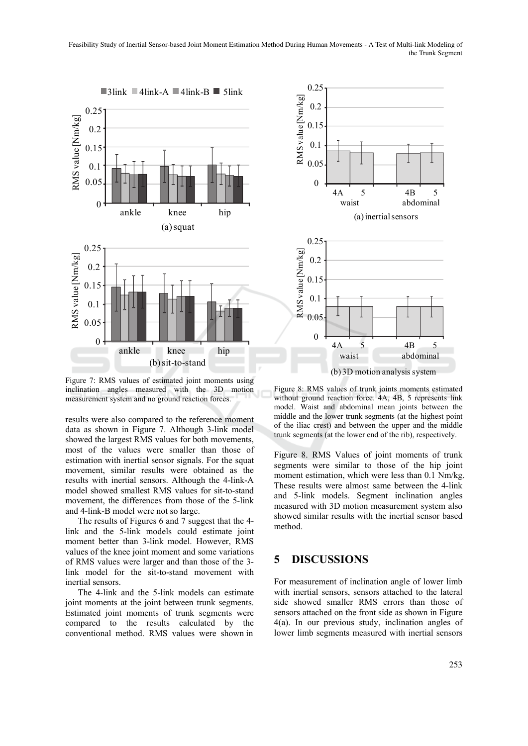Feasibility Study of Inertial Sensor-based Joint Moment Estimation Method During Human Movements - A Test of Multi-link Modeling of the Trunk Segment



Figure 7: RMS values of estimated joint moments using inclination angles measured with the 3D motion measurement system and no ground reaction forces.

results were also compared to the reference moment data as shown in Figure 7. Although 3-link model showed the largest RMS values for both movements, most of the values were smaller than those of estimation with inertial sensor signals. For the squat movement, similar results were obtained as the results with inertial sensors. Although the 4-link-A model showed smallest RMS values for sit-to-stand movement, the differences from those of the 5-link and 4-link-B model were not so large.

The results of Figures 6 and 7 suggest that the 4 link and the 5-link models could estimate joint moment better than 3-link model. However, RMS values of the knee joint moment and some variations of RMS values were larger and than those of the 3 link model for the sit-to-stand movement with inertial sensors.

The 4-link and the 5-link models can estimate joint moments at the joint between trunk segments. Estimated joint moments of trunk segments were compared to the results calculated by the conventional method. RMS values were shown in



Figure 8: RMS values of trunk joints moments estimated without ground reaction force. 4A, 4B, 5 represents link model. Waist and abdominal mean joints between the middle and the lower trunk segments (at the highest point of the iliac crest) and between the upper and the middle

trunk segments (at the lower end of the rib), respectively.

Figure 8. RMS Values of joint moments of trunk segments were similar to those of the hip joint moment estimation, which were less than 0.1 Nm/kg. These results were almost same between the 4-link and 5-link models. Segment inclination angles measured with 3D motion measurement system also showed similar results with the inertial sensor based method.

#### **5 DISCUSSIONS**

For measurement of inclination angle of lower limb with inertial sensors, sensors attached to the lateral side showed smaller RMS errors than those of sensors attached on the front side as shown in Figure 4(a). In our previous study, inclination angles of lower limb segments measured with inertial sensors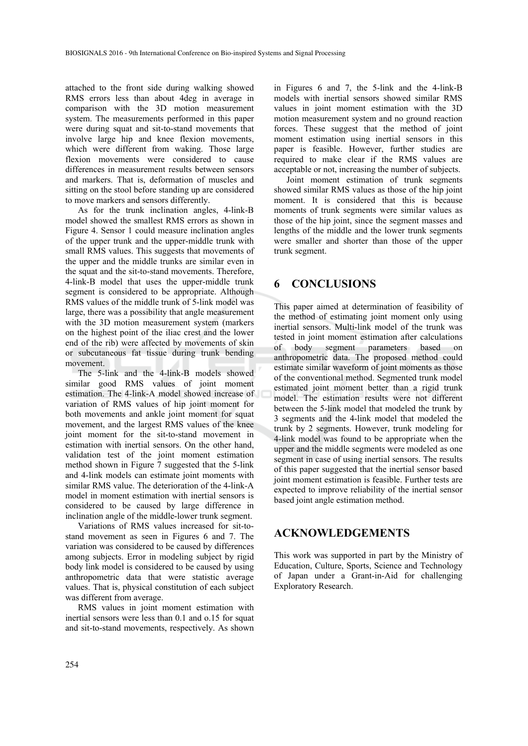attached to the front side during walking showed RMS errors less than about 4deg in average in comparison with the 3D motion measurement system. The measurements performed in this paper were during squat and sit-to-stand movements that involve large hip and knee flexion movements, which were different from waking. Those large flexion movements were considered to cause differences in measurement results between sensors and markers. That is, deformation of muscles and sitting on the stool before standing up are considered to move markers and sensors differently.

As for the trunk inclination angles, 4-link-B model showed the smallest RMS errors as shown in Figure 4. Sensor 1 could measure inclination angles of the upper trunk and the upper-middle trunk with small RMS values. This suggests that movements of the upper and the middle trunks are similar even in the squat and the sit-to-stand movements. Therefore, 4-link-B model that uses the upper-middle trunk segment is considered to be appropriate. Although RMS values of the middle trunk of 5-link model was large, there was a possibility that angle measurement with the 3D motion measurement system (markers on the highest point of the iliac crest and the lower end of the rib) were affected by movements of skin or subcutaneous fat tissue during trunk bending movement.

The 5-link and the 4-link-B models showed similar good RMS values of joint moment estimation. The 4-link-A model showed increase of variation of RMS values of hip joint moment for both movements and ankle joint moment for squat movement, and the largest RMS values of the knee joint moment for the sit-to-stand movement in estimation with inertial sensors. On the other hand, validation test of the joint moment estimation method shown in Figure 7 suggested that the 5-link and 4-link models can estimate joint moments with similar RMS value. The deterioration of the 4-link-A model in moment estimation with inertial sensors is considered to be caused by large difference in inclination angle of the middle-lower trunk segment.

Variations of RMS values increased for sit-tostand movement as seen in Figures 6 and 7. The variation was considered to be caused by differences among subjects. Error in modeling subject by rigid body link model is considered to be caused by using anthropometric data that were statistic average values. That is, physical constitution of each subject was different from average.

RMS values in joint moment estimation with inertial sensors were less than 0.1 and o.15 for squat and sit-to-stand movements, respectively. As shown

in Figures 6 and 7, the 5-link and the 4-link-B models with inertial sensors showed similar RMS values in joint moment estimation with the 3D motion measurement system and no ground reaction forces. These suggest that the method of joint moment estimation using inertial sensors in this paper is feasible. However, further studies are required to make clear if the RMS values are acceptable or not, increasing the number of subjects.

Joint moment estimation of trunk segments showed similar RMS values as those of the hip joint moment. It is considered that this is because moments of trunk segments were similar values as those of the hip joint, since the segment masses and lengths of the middle and the lower trunk segments were smaller and shorter than those of the upper trunk segment.

#### **6 CONCLUSIONS**

This paper aimed at determination of feasibility of the method of estimating joint moment only using inertial sensors. Multi-link model of the trunk was tested in joint moment estimation after calculations of body segment parameters based on anthropometric data. The proposed method could estimate similar waveform of joint moments as those of the conventional method. Segmented trunk model estimated joint moment better than a rigid trunk model. The estimation results were not different between the 5-link model that modeled the trunk by 3 segments and the 4-link model that modeled the trunk by 2 segments. However, trunk modeling for 4-link model was found to be appropriate when the upper and the middle segments were modeled as one segment in case of using inertial sensors. The results of this paper suggested that the inertial sensor based joint moment estimation is feasible. Further tests are expected to improve reliability of the inertial sensor based joint angle estimation method.

#### **ACKNOWLEDGEMENTS**

This work was supported in part by the Ministry of Education, Culture, Sports, Science and Technology of Japan under a Grant-in-Aid for challenging Exploratory Research.